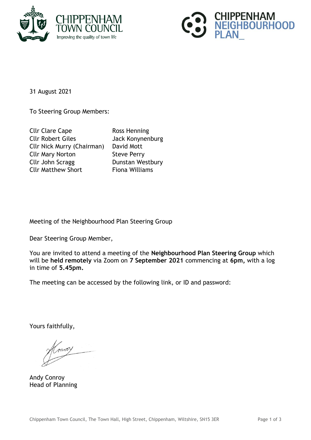



31 August 2021

To Steering Group Members:

| <b>Cllr Clare Cape</b>            | Ross Henning          |
|-----------------------------------|-----------------------|
| <b>Cllr Robert Giles</b>          | Jack Konynenburg      |
| <b>Cllr Nick Murry (Chairman)</b> | David Mott            |
| <b>Cllr Mary Norton</b>           | <b>Steve Perry</b>    |
| Cllr John Scragg                  | Dunstan Westbury      |
| <b>Cllr Matthew Short</b>         | <b>Fiona Williams</b> |

Meeting of the Neighbourhood Plan Steering Group

Dear Steering Group Member,

You are invited to attend a meeting of the **Neighbourhood Plan Steering Group** which will be **held remotely** via Zoom on **7 September 2021** commencing at **6pm,** with a log in time of **5.45pm.**

The meeting can be accessed by the following link, or ID and password:

Yours faithfully,

moy

Andy Conroy Head of Planning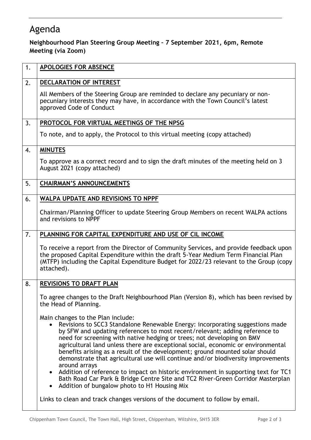## Agenda

## **Neighbourhood Plan Steering Group Meeting – 7 September 2021, 6pm, Remote Meeting (via Zoom)**

| 1. | <b>APOLOGIES FOR ABSENCE</b>                                                                                                                                                                                                                                                                                                                                                                                                                                                                                                                                                                                                                                                                                                                                                                            |
|----|---------------------------------------------------------------------------------------------------------------------------------------------------------------------------------------------------------------------------------------------------------------------------------------------------------------------------------------------------------------------------------------------------------------------------------------------------------------------------------------------------------------------------------------------------------------------------------------------------------------------------------------------------------------------------------------------------------------------------------------------------------------------------------------------------------|
| 2. | DECLARATION OF INTEREST                                                                                                                                                                                                                                                                                                                                                                                                                                                                                                                                                                                                                                                                                                                                                                                 |
|    | All Members of the Steering Group are reminded to declare any pecuniary or non-<br>pecuniary interests they may have, in accordance with the Town Council's latest<br>approved Code of Conduct                                                                                                                                                                                                                                                                                                                                                                                                                                                                                                                                                                                                          |
| 3. | PROTOCOL FOR VIRTUAL MEETINGS OF THE NPSG                                                                                                                                                                                                                                                                                                                                                                                                                                                                                                                                                                                                                                                                                                                                                               |
|    | To note, and to apply, the Protocol to this virtual meeting (copy attached)                                                                                                                                                                                                                                                                                                                                                                                                                                                                                                                                                                                                                                                                                                                             |
| 4. | <b>MINUTES</b>                                                                                                                                                                                                                                                                                                                                                                                                                                                                                                                                                                                                                                                                                                                                                                                          |
|    | To approve as a correct record and to sign the draft minutes of the meeting held on 3<br>August 2021 (copy attached)                                                                                                                                                                                                                                                                                                                                                                                                                                                                                                                                                                                                                                                                                    |
| 5. | <b>CHAIRMAN'S ANNOUNCEMENTS</b>                                                                                                                                                                                                                                                                                                                                                                                                                                                                                                                                                                                                                                                                                                                                                                         |
| 6. | WALPA UPDATE AND REVISIONS TO NPPF                                                                                                                                                                                                                                                                                                                                                                                                                                                                                                                                                                                                                                                                                                                                                                      |
|    | Chairman/Planning Officer to update Steering Group Members on recent WALPA actions<br>and revisions to NPPF                                                                                                                                                                                                                                                                                                                                                                                                                                                                                                                                                                                                                                                                                             |
| 7. | PLANNING FOR CAPITAL EXPENDITURE AND USE OF CIL INCOME                                                                                                                                                                                                                                                                                                                                                                                                                                                                                                                                                                                                                                                                                                                                                  |
|    | To receive a report from the Director of Community Services, and provide feedback upon<br>the proposed Capital Expenditure within the draft 5-Year Medium Term Financial Plan<br>(MTFP) including the Capital Expenditure Budget for 2022/23 relevant to the Group (copy<br>attached).                                                                                                                                                                                                                                                                                                                                                                                                                                                                                                                  |
| 8. | <b>REVISIONS TO DRAFT PLAN</b>                                                                                                                                                                                                                                                                                                                                                                                                                                                                                                                                                                                                                                                                                                                                                                          |
|    | To agree changes to the Draft Neighbourhood Plan (Version 8), which has been revised by<br>the Head of Planning.                                                                                                                                                                                                                                                                                                                                                                                                                                                                                                                                                                                                                                                                                        |
|    | Main changes to the Plan include:<br>Revisions to SCC3 Standalone Renewable Energy: incorporating suggestions made<br>by SFW and updating references to most recent/relevant; adding reference to<br>need for screening with native hedging or trees; not developing on BMV<br>agricultural land unless there are exceptional social, economic or environmental<br>benefits arising as a result of the development; ground mounted solar should<br>demonstrate that agricultural use will continue and/or biodiversity improvements<br>around arrays<br>Addition of reference to impact on historic environment in supporting text for TC1<br>$\bullet$<br>Bath Road Car Park & Bridge Centre Site and TC2 River-Green Corridor Masterplan<br>Addition of bungalow photo to H1 Housing Mix<br>$\bullet$ |
|    | Links to clean and track changes versions of the document to follow by email.                                                                                                                                                                                                                                                                                                                                                                                                                                                                                                                                                                                                                                                                                                                           |